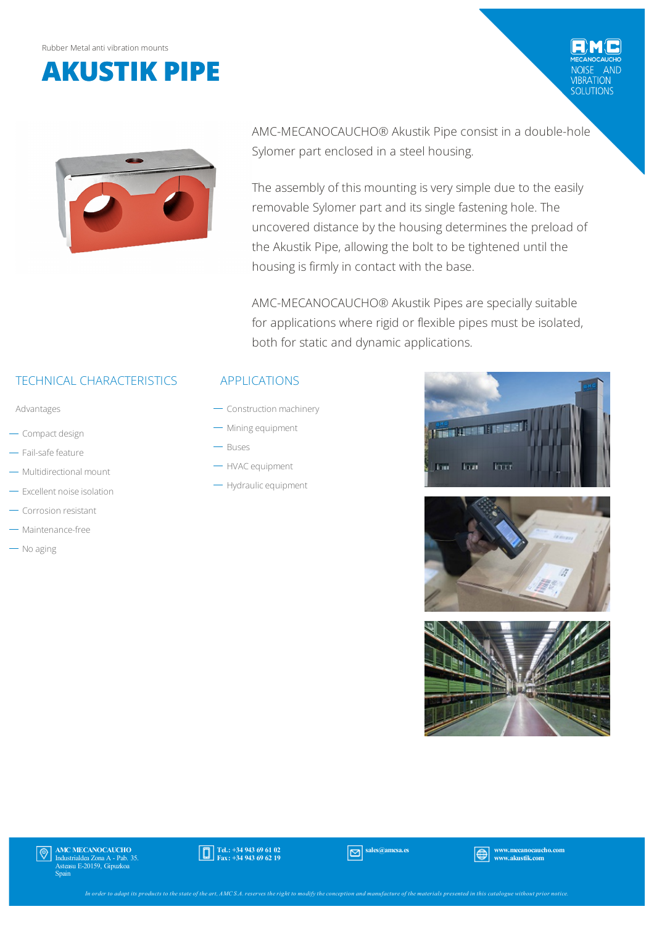



AMC-MECANOCAUCHO® Akustik Pipe consist in a double-hole Sylomer part enclosed in a steel housing.

The assembly of this mounting is very simple due to the easily removable Sylomer part and its single fastening hole. The uncovered distance by the housing determines the preload of the Akustik Pipe, allowing the bolt to be tightened until the housing is firmly in contact with the base.

AMC-MECANOCAUCHO® Akustik Pipes are specially suitable for applications where rigid or flexible pipes must be isolated, both for static and dynamic applications.

## TECHNICAL CHARACTERISTICS

Advantages

- Compact design
- Fail-safe feature
- Multidirectional mount
- Excellent noise isolation
- Corrosion resistant
- Maintenance-free
- $-$  No aging

#### APPLICATIONS

- Construction machinery
- Mining equipment
- Buses
- HVAC equipment
- Hydraulic equipment



VIBRATION<br>SOLUTIONS





AMC MECANOCAUCHO Industrialdea Zona A - Pab. 35. Asteasu E-20159, Gipuzkoa Spain



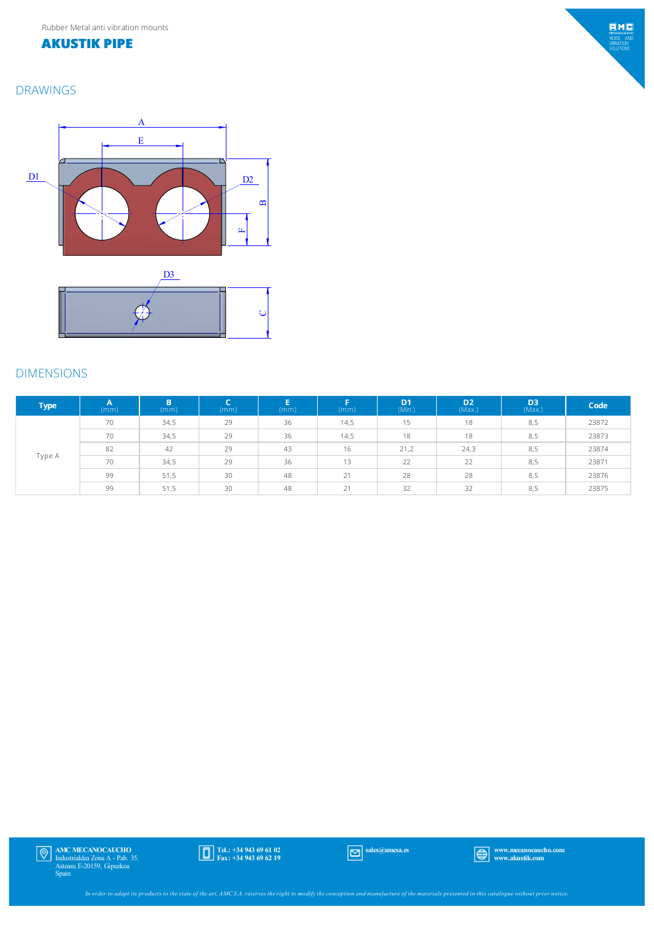#### **AKUSTIK PIPE**

### DRAWINGS





#### DIMENSIONS

| <b>Type</b> | (mm) | B<br>(mm) | (mm) | (mm) | Е<br>(mm) | D <sub>1</sub><br>(Min.) | D <sub>2</sub><br>(Max.) | D <sub>3</sub><br>(Max.) | Code  |
|-------------|------|-----------|------|------|-----------|--------------------------|--------------------------|--------------------------|-------|
| Type A      | 70   | 34,5      | 29   | 36   | 14,5      | 15                       | 18                       | 8,5                      | 23872 |
|             | 70   | 34,5      | 29   | 36   | 14,5      | 18                       | 18                       | 8,5                      | 23873 |
|             | 82   | 42        | 29   | 43   | 16        | 21,2                     | 24,3                     | 8,5                      | 23874 |
|             | 70   | 34,5      | 29   | 36   | 13        | 22                       | 22                       | 8,5                      | 23871 |
|             | 99   | 51,5      | 30   | 48   | 21        | 28                       | 28                       | 8,5                      | 23876 |
|             | 99   | 51,5      | 30   | 48   | 21        | 32                       | 32                       | 8,5                      | 23875 |



 $EMC$ MECANOCAUCH<br>NOISE ANI<br>VIBRATION<br>SOLUTIONS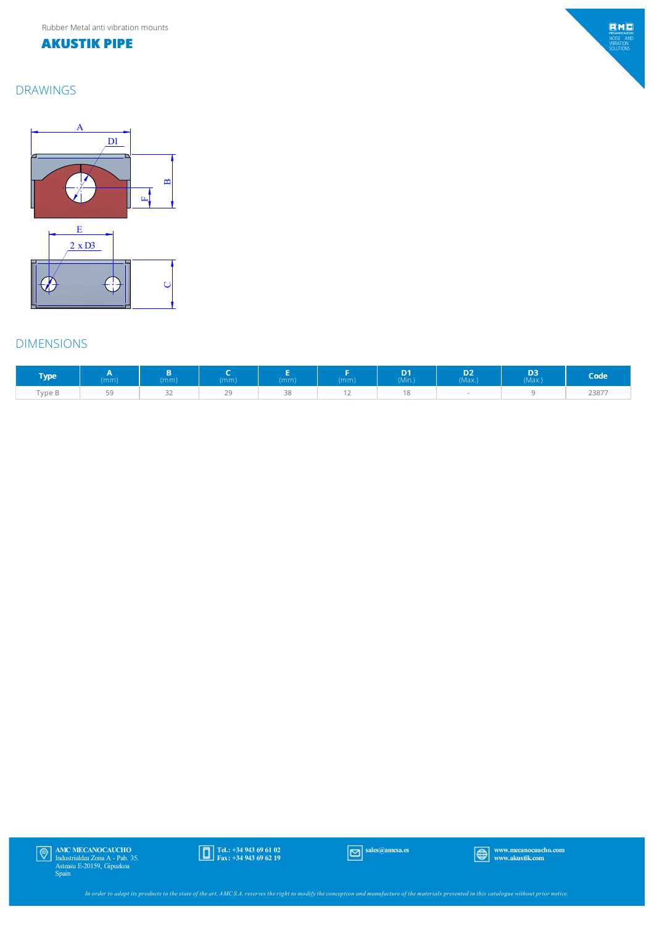Rubber Metal anti vibration mounts

#### **AKUSTIK PIPE**

## $EMC$ MECANOCAUCH<br>NOISE AND<br>VIBRATION<br>SOLUTIONS

## DRAWINGS



## DIMENSIONS

| <b>Type</b>   | (mm) | (mm)                | (mm)                      | (mm)            | (mm) | D1<br>(Min.) | D <sub>3</sub><br>◡<br>(Max) | D <sub>3</sub><br>(Max.) | Code  |
|---------------|------|---------------------|---------------------------|-----------------|------|--------------|------------------------------|--------------------------|-------|
| $-$<br>Type B | EΩ   | $\sim$ $\sim$<br>ЭZ | $\sim$ $\sim$<br><u>_</u> | $\cap$<br>- - - |      | $\sim$       |                              |                          | 23877 |

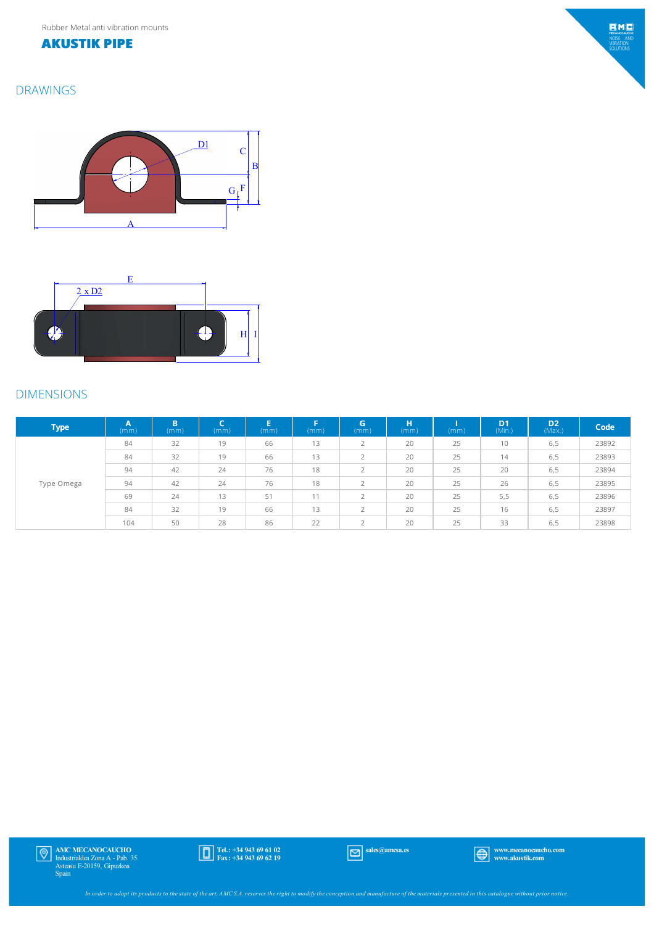### **AKUSTIK PIPE**

DRAWINGS

# $EMC$ MECANOCAUCH<br>NOISE ANI<br>VIBRATION<br>SOLUTIONS





## DIMENSIONS

| Type <sup>1</sup> | $\mathsf{A}$<br>(mm) | B<br>(mm) | $\overline{\phantom{a}}$<br>(mm) | E<br>(mm) | F<br>(mm) | G<br>(mm)                | ш<br>(mm) | (mm) | D <sub>1</sub><br>(Min.) | D <sub>2</sub><br>(Max.) | Code  |
|-------------------|----------------------|-----------|----------------------------------|-----------|-----------|--------------------------|-----------|------|--------------------------|--------------------------|-------|
|                   | 84                   | 32        | 19                               | 66        | 13        | $\overline{\phantom{1}}$ | 20        | 25   | 10                       | 6,5                      | 23892 |
|                   | 84                   | 32        | 19                               | 66        | 13        | C.                       | 20        | 25   | 14                       | 6,5                      | 23893 |
|                   | 94                   | 42        | 24                               | 76        | 18        | $\overline{\phantom{1}}$ | 20        | 25   | 20                       | 6,5                      | 23894 |
| Type Omega        | 94                   | 42        | 24                               | 76        | 18        |                          | 20        | 25   | 26                       | 6,5                      | 23895 |
|                   | 69                   | 24        | 13                               | 51        | 11        | $\overline{\phantom{1}}$ | 20        | 25   | 5,5                      | 6,5                      | 23896 |
|                   | 84                   | 32        | 19                               | 66        | 13        | $\overline{\phantom{1}}$ | 20        | 25   | 16                       | 6,5                      | 23897 |
|                   | 104                  | 50        | 28                               | 86        | 22        | $\overline{\phantom{0}}$ | 20        | 25   | 33                       | 6,5                      | 23898 |